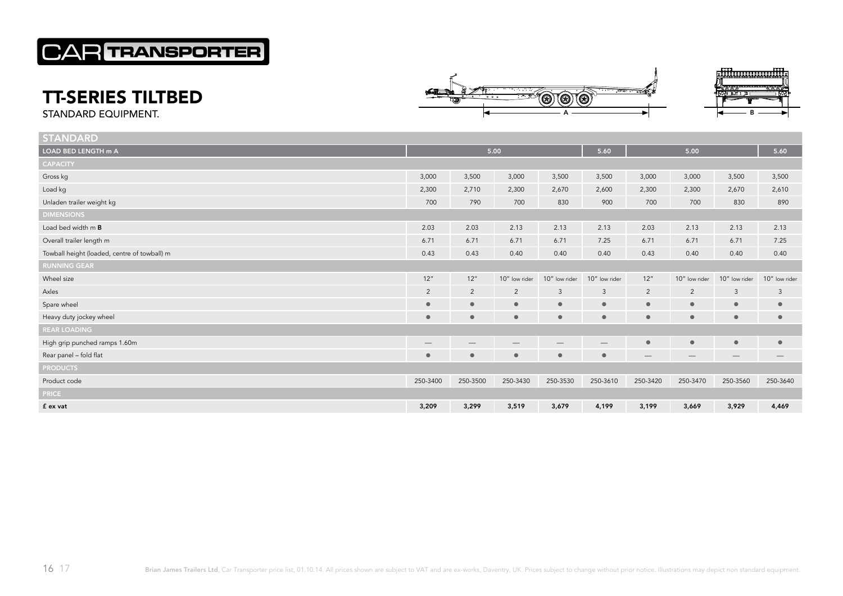## **CAR TRANSPORTER**

## TT-SERIES TILTBED





STANDARD EQUIPMENT.

| <b>STANDARD</b>                              |                                 |                                 |                                 |                                 |                                 |                 |                                 |                                 |               |
|----------------------------------------------|---------------------------------|---------------------------------|---------------------------------|---------------------------------|---------------------------------|-----------------|---------------------------------|---------------------------------|---------------|
| LOAD BED LENGTH m A                          | 5.00                            |                                 |                                 |                                 | 5.60                            | 5.00            |                                 |                                 | 5.60          |
| <b>CAPACITY</b>                              |                                 |                                 |                                 |                                 |                                 |                 |                                 |                                 |               |
| Gross kg                                     | 3,000                           | 3,500                           | 3,000                           | 3,500                           | 3,500                           | 3,000           | 3,000                           | 3,500                           | 3,500         |
| Load kg                                      | 2,300                           | 2,710                           | 2,300                           | 2,670                           | 2,600                           | 2,300           | 2,300                           | 2,670                           | 2,610         |
| Unladen trailer weight kg                    | 700                             | 790                             | 700                             | 830                             | 900                             | 700             | 700                             | 830                             | 890           |
| <b>DIMENSIONS</b>                            |                                 |                                 |                                 |                                 |                                 |                 |                                 |                                 |               |
| Load bed width m B                           | 2.03                            | 2.03                            | 2.13                            | 2.13                            | 2.13                            | 2.03            | 2.13                            | 2.13                            | 2.13          |
| Overall trailer length m                     | 6.71                            | 6.71                            | 6.71                            | 6.71                            | 7.25                            | 6.71            | 6.71                            | 6.71                            | 7.25          |
| Towball height (loaded, centre of towball) m | 0.43                            | 0.43                            | 0.40                            | 0.40                            | 0.40                            | 0.43            | 0.40                            | 0.40                            | 0.40          |
| <b>RUNNING GEAR</b>                          |                                 |                                 |                                 |                                 |                                 |                 |                                 |                                 |               |
| Wheel size                                   | 12"                             | 12''                            | 10" low rider                   | 10" low rider                   | 10" low rider                   | 12"             | 10" low rider                   | 10" low rider                   | 10" low rider |
| Axles                                        | $\overline{2}$                  | $\overline{2}$                  | $\overline{2}$                  | $\mathbf{3}$                    | $\mathbf{3}$                    | $\overline{2}$  | $\overline{2}$                  | $\mathbf{3}$                    | $\mathbf{3}$  |
| Spare wheel                                  | $\bullet$                       | $\bullet$                       | $\bullet$                       | $\bullet$                       | $\bullet$                       | $\bullet$       | $\bullet$                       | $\bullet$                       | $\bullet$     |
| Heavy duty jockey wheel                      | $\bullet$                       | $\bullet$                       | $\bullet$                       | $\bullet$                       | $\bullet$                       | $\bullet$       | $\bullet$                       | $\bullet$                       | $\bullet$     |
| <b>REAR LOADING</b>                          |                                 |                                 |                                 |                                 |                                 |                 |                                 |                                 |               |
| High grip punched ramps 1.60m                | $\hspace{0.1mm}-\hspace{0.1mm}$ | $\hspace{0.1mm}-\hspace{0.1mm}$ | $\hspace{0.1mm}-\hspace{0.1mm}$ | $\hspace{0.1mm}-\hspace{0.1mm}$ | $\hspace{0.1mm}-\hspace{0.1mm}$ | $\bullet$       | $\bullet$                       | $\bullet$                       | $\bullet$     |
| Rear panel - fold flat                       | $\bullet$                       | $\bullet$                       | $\bullet$                       | $\bullet$                       | $\bullet$                       | $\qquad \qquad$ | $\hspace{0.1mm}-\hspace{0.1mm}$ | $\hspace{0.1mm}-\hspace{0.1mm}$ |               |
| <b>PRODUCTS</b>                              |                                 |                                 |                                 |                                 |                                 |                 |                                 |                                 |               |
| Product code                                 | 250-3400                        | 250-3500                        | 250-3430                        | 250-3530                        | 250-3610                        | 250-3420        | 250-3470                        | 250-3560                        | 250-3640      |
| <b>PRICE</b>                                 |                                 |                                 |                                 |                                 |                                 |                 |                                 |                                 |               |
| f ex vat                                     | 3,209                           | 3,299                           | 3,519                           | 3,679                           | 4,199                           | 3,199           | 3,669                           | 3,929                           | 4,469         |